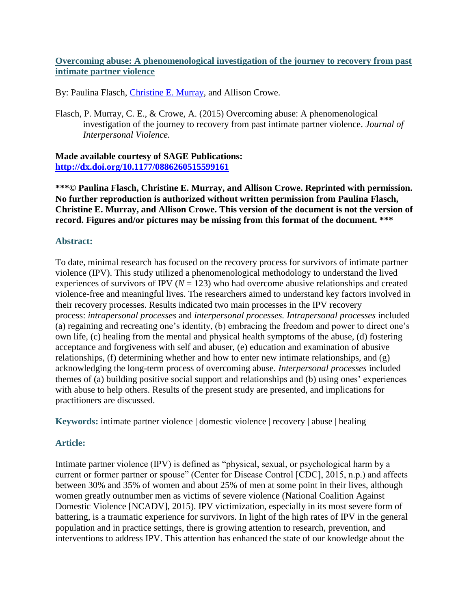## **Overcoming abuse: A phenomenological investigation of the journey to recovery from past intimate partner violence**

By: Paulina Flasch, [Christine E. Murray,](https://libres.uncg.edu/ir/uncg/clist.aspx?id=894) and Allison Crowe.

Flasch, P. Murray, C. E., & Crowe, A. (2015) Overcoming abuse: A phenomenological investigation of the journey to recovery from past intimate partner violence. *Journal of Interpersonal Violence.*

**Made available courtesy of SAGE Publications: <http://dx.doi.org/10.1177/0886260515599161>**

**\*\*\*© Paulina Flasch, Christine E. Murray, and Allison Crowe. Reprinted with permission. No further reproduction is authorized without written permission from Paulina Flasch, Christine E. Murray, and Allison Crowe. This version of the document is not the version of record. Figures and/or pictures may be missing from this format of the document. \*\*\***

## **Abstract:**

To date, minimal research has focused on the recovery process for survivors of intimate partner violence (IPV). This study utilized a phenomenological methodology to understand the lived experiences of survivors of IPV ( $N = 123$ ) who had overcome abusive relationships and created violence-free and meaningful lives. The researchers aimed to understand key factors involved in their recovery processes. Results indicated two main processes in the IPV recovery process: *intrapersonal processes* and *interpersonal processes. Intrapersonal processes* included (a) regaining and recreating one's identity, (b) embracing the freedom and power to direct one's own life, (c) healing from the mental and physical health symptoms of the abuse, (d) fostering acceptance and forgiveness with self and abuser, (e) education and examination of abusive relationships, (f) determining whether and how to enter new intimate relationships, and (g) acknowledging the long-term process of overcoming abuse. *Interpersonal processes* included themes of (a) building positive social support and relationships and (b) using ones' experiences with abuse to help others. Results of the present study are presented, and implications for practitioners are discussed.

**Keywords:** intimate partner violence | domestic violence | recovery | abuse | healing

## **Article:**

Intimate partner violence (IPV) is defined as "physical, sexual, or psychological harm by a current or former partner or spouse" (Center for Disease Control [CDC], 2015, n.p.) and affects between 30% and 35% of women and about 25% of men at some point in their lives, although women greatly outnumber men as victims of severe violence (National Coalition Against Domestic Violence [NCADV], 2015). IPV victimization, especially in its most severe form of battering, is a traumatic experience for survivors. In light of the high rates of IPV in the general population and in practice settings, there is growing attention to research, prevention, and interventions to address IPV. This attention has enhanced the state of our knowledge about the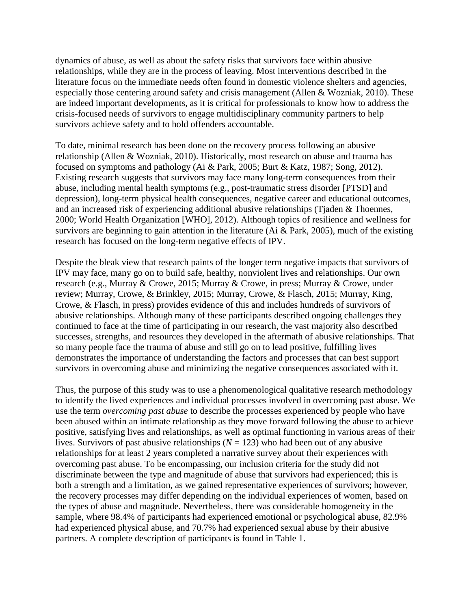dynamics of abuse, as well as about the safety risks that survivors face within abusive relationships, while they are in the process of leaving. Most interventions described in the literature focus on the immediate needs often found in domestic violence shelters and agencies, especially those centering around safety and crisis management (Allen & Wozniak, 2010). These are indeed important developments, as it is critical for professionals to know how to address the crisis-focused needs of survivors to engage multidisciplinary community partners to help survivors achieve safety and to hold offenders accountable.

To date, minimal research has been done on the recovery process following an abusive relationship (Allen & Wozniak, 2010). Historically, most research on abuse and trauma has focused on symptoms and pathology (Ai & Park, 2005; Burt & Katz, 1987; Song, 2012). Existing research suggests that survivors may face many long-term consequences from their abuse, including mental health symptoms (e.g., post-traumatic stress disorder [PTSD] and depression), long-term physical health consequences, negative career and educational outcomes, and an increased risk of experiencing additional abusive relationships (Tjaden & Thoennes, 2000; World Health Organization [WHO], 2012). Although topics of resilience and wellness for survivors are beginning to gain attention in the literature (Ai & Park, 2005), much of the existing research has focused on the long-term negative effects of IPV.

Despite the bleak view that research paints of the longer term negative impacts that survivors of IPV may face, many go on to build safe, healthy, nonviolent lives and relationships. Our own research (e.g., Murray & Crowe, 2015; Murray & Crowe, in press; Murray & Crowe, under review; Murray, Crowe, & Brinkley, 2015; Murray, Crowe, & Flasch, 2015; Murray, King, Crowe, & Flasch, in press) provides evidence of this and includes hundreds of survivors of abusive relationships. Although many of these participants described ongoing challenges they continued to face at the time of participating in our research, the vast majority also described successes, strengths, and resources they developed in the aftermath of abusive relationships. That so many people face the trauma of abuse and still go on to lead positive, fulfilling lives demonstrates the importance of understanding the factors and processes that can best support survivors in overcoming abuse and minimizing the negative consequences associated with it.

Thus, the purpose of this study was to use a phenomenological qualitative research methodology to identify the lived experiences and individual processes involved in overcoming past abuse. We use the term *overcoming past abuse* to describe the processes experienced by people who have been abused within an intimate relationship as they move forward following the abuse to achieve positive, satisfying lives and relationships, as well as optimal functioning in various areas of their lives. Survivors of past abusive relationships  $(N = 123)$  who had been out of any abusive relationships for at least 2 years completed a narrative survey about their experiences with overcoming past abuse. To be encompassing, our inclusion criteria for the study did not discriminate between the type and magnitude of abuse that survivors had experienced; this is both a strength and a limitation, as we gained representative experiences of survivors; however, the recovery processes may differ depending on the individual experiences of women, based on the types of abuse and magnitude. Nevertheless, there was considerable homogeneity in the sample, where 98.4% of participants had experienced emotional or psychological abuse, 82.9% had experienced physical abuse, and 70.7% had experienced sexual abuse by their abusive partners. A complete description of participants is found in Table 1.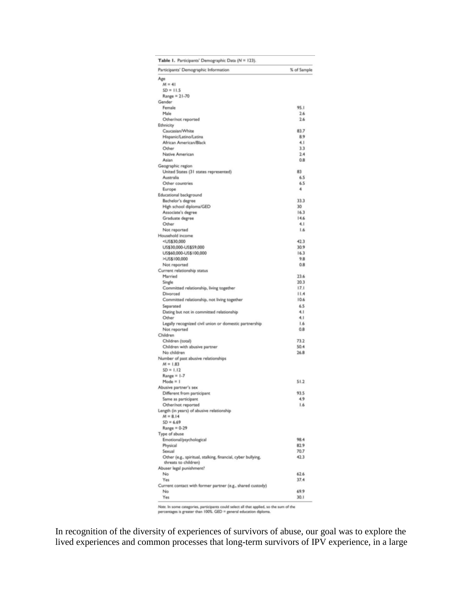| Participants' Demographic Information                                  | % of Sample  |
|------------------------------------------------------------------------|--------------|
| Age                                                                    |              |
| $M = 41$                                                               |              |
| $SD = 11.5$<br>$Range = 21-70$                                         |              |
| Gender                                                                 |              |
| Female                                                                 | 95.1         |
| Male                                                                   | 2.6          |
| Other/not reported                                                     | 2.6          |
| Ethnicity<br>Caucasian/White                                           | 83.7         |
| Hispanic/Latino/Latina                                                 | 8.9          |
| African American/Black                                                 | 4.1          |
| Other                                                                  | 3.3          |
| Native American<br>Asian                                               | 2.4<br>0.8   |
| Geographic region                                                      |              |
| United States (31 states represented)                                  | 83           |
| Australia                                                              | 6.5          |
| Other countries                                                        | 6.5          |
| Europe                                                                 | 4            |
| Educational background<br>Bachelor's degree                            | 33.3         |
| High school diploma/GED                                                | 30           |
| Associate's degree                                                     | 16.3         |
| Graduate degree                                                        | 14.6         |
| Other                                                                  | 4.1          |
| Not reported<br>Household income                                       | 1.6          |
| <us\$30,000< td=""><td>42.3</td></us\$30,000<>                         | 42.3         |
| US\$30,000-US\$59,000                                                  | 30.9         |
| US\$60,000-US\$100,000                                                 | 16.3         |
| >US\$100,000                                                           | 9.8          |
| Not reported<br>Current relationship status                            | 0.8          |
| Married                                                                | 23.6         |
| Single                                                                 | 20.3         |
| Committed relationship, living together                                | 17.1         |
| Divorced                                                               | II.4         |
| Committed relationship, not living together                            | 10.6         |
| Separated                                                              | 6.5<br>4.1   |
| Dating but not in committed relationship<br>Other                      | 4.1          |
| Legally recognized civil union or domestic partnership                 | 1.6          |
| Not reported                                                           | 0.8          |
| Children                                                               |              |
| Children (total)<br>Children with abusive partner                      | 73.2<br>50.4 |
| No children                                                            | 26.8         |
| Number of past abusive relationships                                   |              |
| $M = 1.83$                                                             |              |
| $SD = 1.12$                                                            |              |
| $Range = 1-7$<br>$Mode = 1$                                            | 51.2         |
| Abusive partner's sex                                                  |              |
| Different from participant                                             | 93.5         |
| Same as participant                                                    | 4.9          |
| Other/not reported                                                     | 1.6          |
| Length (in years) of abusive relationship<br>$M = 8.14$                |              |
| $SD = 6.69$                                                            |              |
| $Range = 0.29$                                                         |              |
| Type of abuse                                                          |              |
| Emotional/psychological                                                | 98.4         |
| Physical                                                               | 82.9         |
| Sexual<br>Other (e.g., spiritual, stalking, financial, cyber bullying, | 70.7<br>42.3 |
| threats to children)                                                   |              |
| Abuser legal punishment?                                               |              |
| No                                                                     | 62.6         |
| Yes                                                                    | 37.4         |
| Current contact with former partner (e.g., shared custody)             | 69.9         |
| No                                                                     |              |

percentages is greater than 100%. GED = general education diploma.

In recognition of the diversity of experiences of survivors of abuse, our goal was to explore the lived experiences and common processes that long-term survivors of IPV experience, in a large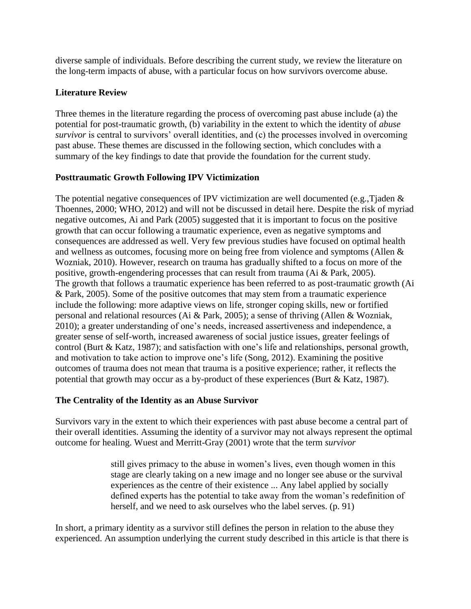diverse sample of individuals. Before describing the current study, we review the literature on the long-term impacts of abuse, with a particular focus on how survivors overcome abuse.

# **Literature Review**

Three themes in the literature regarding the process of overcoming past abuse include (a) the potential for post-traumatic growth, (b) variability in the extent to which the identity of *abuse survivor* is central to survivors' overall identities, and (c) the processes involved in overcoming past abuse. These themes are discussed in the following section, which concludes with a summary of the key findings to date that provide the foundation for the current study.

# **Posttraumatic Growth Following IPV Victimization**

The potential negative consequences of IPV victimization are well documented (e.g., Tjaden  $\&$ Thoennes, 2000; WHO, 2012) and will not be discussed in detail here. Despite the risk of myriad negative outcomes, Ai and Park (2005) suggested that it is important to focus on the positive growth that can occur following a traumatic experience, even as negative symptoms and consequences are addressed as well. Very few previous studies have focused on optimal health and wellness as outcomes, focusing more on being free from violence and symptoms (Allen & Wozniak, 2010). However, research on trauma has gradually shifted to a focus on more of the positive, growth-engendering processes that can result from trauma (Ai & Park, 2005). The growth that follows a traumatic experience has been referred to as post-traumatic growth (Ai & Park, 2005). Some of the positive outcomes that may stem from a traumatic experience include the following: more adaptive views on life, stronger coping skills, new or fortified personal and relational resources (Ai & Park, 2005); a sense of thriving (Allen & Wozniak, 2010); a greater understanding of one's needs, increased assertiveness and independence, a greater sense of self-worth, increased awareness of social justice issues, greater feelings of control (Burt & Katz, 1987); and satisfaction with one's life and relationships, personal growth, and motivation to take action to improve one's life (Song, 2012). Examining the positive outcomes of trauma does not mean that trauma is a positive experience; rather, it reflects the potential that growth may occur as a by-product of these experiences (Burt & Katz, 1987).

## **The Centrality of the Identity as an Abuse Survivor**

Survivors vary in the extent to which their experiences with past abuse become a central part of their overall identities. Assuming the identity of a survivor may not always represent the optimal outcome for healing. Wuest and Merritt-Gray (2001) wrote that the term *survivor*

> still gives primacy to the abuse in women's lives, even though women in this stage are clearly taking on a new image and no longer see abuse or the survival experiences as the centre of their existence ... Any label applied by socially defined experts has the potential to take away from the woman's redefinition of herself, and we need to ask ourselves who the label serves. (p. 91)

In short, a primary identity as a survivor still defines the person in relation to the abuse they experienced. An assumption underlying the current study described in this article is that there is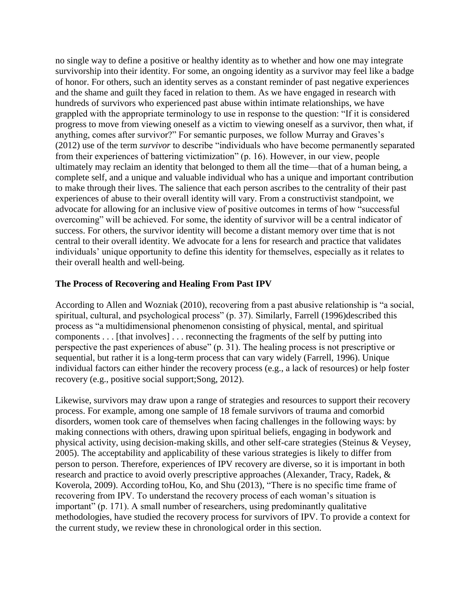no single way to define a positive or healthy identity as to whether and how one may integrate survivorship into their identity. For some, an ongoing identity as a survivor may feel like a badge of honor. For others, such an identity serves as a constant reminder of past negative experiences and the shame and guilt they faced in relation to them. As we have engaged in research with hundreds of survivors who experienced past abuse within intimate relationships, we have grappled with the appropriate terminology to use in response to the question: "If it is considered progress to move from viewing oneself as a victim to viewing oneself as a survivor, then what, if anything, comes after survivor?" For semantic purposes, we follow Murray and Graves's (2012) use of the term *survivor* to describe "individuals who have become permanently separated from their experiences of battering victimization" (p. 16). However, in our view, people ultimately may reclaim an identity that belonged to them all the time—that of a human being, a complete self, and a unique and valuable individual who has a unique and important contribution to make through their lives. The salience that each person ascribes to the centrality of their past experiences of abuse to their overall identity will vary. From a constructivist standpoint, we advocate for allowing for an inclusive view of positive outcomes in terms of how "successful overcoming" will be achieved. For some, the identity of survivor will be a central indicator of success. For others, the survivor identity will become a distant memory over time that is not central to their overall identity. We advocate for a lens for research and practice that validates individuals' unique opportunity to define this identity for themselves, especially as it relates to their overall health and well-being.

#### **The Process of Recovering and Healing From Past IPV**

According to Allen and Wozniak (2010), recovering from a past abusive relationship is "a social, spiritual, cultural, and psychological process" (p. 37). Similarly, Farrell (1996)described this process as "a multidimensional phenomenon consisting of physical, mental, and spiritual components . . . [that involves] . . . reconnecting the fragments of the self by putting into perspective the past experiences of abuse" (p. 31). The healing process is not prescriptive or sequential, but rather it is a long-term process that can vary widely (Farrell, 1996). Unique individual factors can either hinder the recovery process (e.g., a lack of resources) or help foster recovery (e.g., positive social support;Song, 2012).

Likewise, survivors may draw upon a range of strategies and resources to support their recovery process. For example, among one sample of 18 female survivors of trauma and comorbid disorders, women took care of themselves when facing challenges in the following ways: by making connections with others, drawing upon spiritual beliefs, engaging in bodywork and physical activity, using decision-making skills, and other self-care strategies (Steinus & Veysey, 2005). The acceptability and applicability of these various strategies is likely to differ from person to person. Therefore, experiences of IPV recovery are diverse, so it is important in both research and practice to avoid overly prescriptive approaches (Alexander, Tracy, Radek, & Koverola, 2009). According toHou, Ko, and Shu (2013), "There is no specific time frame of recovering from IPV. To understand the recovery process of each woman's situation is important" (p. 171). A small number of researchers, using predominantly qualitative methodologies, have studied the recovery process for survivors of IPV. To provide a context for the current study, we review these in chronological order in this section.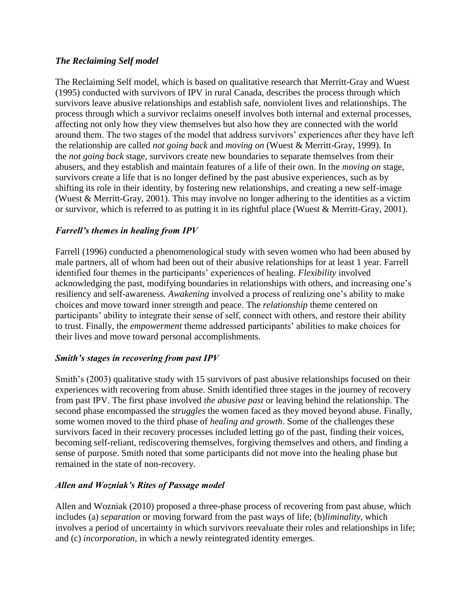### *The Reclaiming Self model*

The Reclaiming Self model, which is based on qualitative research that Merritt-Gray and Wuest (1995) conducted with survivors of IPV in rural Canada, describes the process through which survivors leave abusive relationships and establish safe, nonviolent lives and relationships. The process through which a survivor reclaims oneself involves both internal and external processes, affecting not only how they view themselves but also how they are connected with the world around them. The two stages of the model that address survivors' experiences after they have left the relationship are called *not going back* and *moving on* (Wuest & Merritt-Gray, 1999). In the *not going back* stage, survivors create new boundaries to separate themselves from their abusers, and they establish and maintain features of a life of their own. In the *moving on* stage, survivors create a life that is no longer defined by the past abusive experiences, such as by shifting its role in their identity, by fostering new relationships, and creating a new self-image (Wuest & Merritt-Gray, 2001). This may involve no longer adhering to the identities as a victim or survivor, which is referred to as putting it in its rightful place (Wuest & Merritt-Gray, 2001).

## *Farrell's themes in healing from IPV*

Farrell (1996) conducted a phenomenological study with seven women who had been abused by male partners, all of whom had been out of their abusive relationships for at least 1 year. Farrell identified four themes in the participants' experiences of healing. *Flexibility* involved acknowledging the past, modifying boundaries in relationships with others, and increasing one's resiliency and self-awareness. *Awakening* involved a process of realizing one's ability to make choices and move toward inner strength and peace. The *relationship* theme centered on participants' ability to integrate their sense of self, connect with others, and restore their ability to trust. Finally, the *empowerment* theme addressed participants' abilities to make choices for their lives and move toward personal accomplishments.

## *Smith's stages in recovering from past IPV*

Smith's (2003) qualitative study with 15 survivors of past abusive relationships focused on their experiences with recovering from abuse. Smith identified three stages in the journey of recovery from past IPV. The first phase involved *the abusive past* or leaving behind the relationship. The second phase encompassed the *struggles* the women faced as they moved beyond abuse. Finally, some women moved to the third phase of *healing and growth*. Some of the challenges these survivors faced in their recovery processes included letting go of the past, finding their voices, becoming self-reliant, rediscovering themselves, forgiving themselves and others, and finding a sense of purpose. Smith noted that some participants did not move into the healing phase but remained in the state of non-recovery.

## *Allen and Wozniak's Rites of Passage model*

Allen and Wozniak (2010) proposed a three-phase process of recovering from past abuse, which includes (a) *separation* or moving forward from the past ways of life; (b)*liminality*, which involves a period of uncertainty in which survivors reevaluate their roles and relationships in life; and (c) *incorporation*, in which a newly reintegrated identity emerges.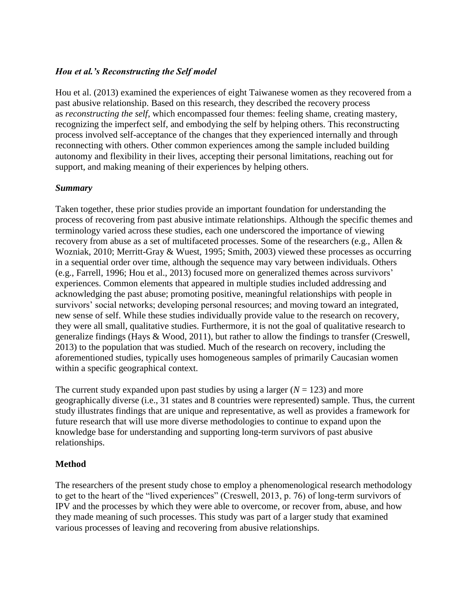### *Hou et al.'s Reconstructing the Self model*

Hou et al. (2013) examined the experiences of eight Taiwanese women as they recovered from a past abusive relationship. Based on this research, they described the recovery process as *reconstructing the self*, which encompassed four themes: feeling shame, creating mastery, recognizing the imperfect self, and embodying the self by helping others. This reconstructing process involved self-acceptance of the changes that they experienced internally and through reconnecting with others. Other common experiences among the sample included building autonomy and flexibility in their lives, accepting their personal limitations, reaching out for support, and making meaning of their experiences by helping others.

### *Summary*

Taken together, these prior studies provide an important foundation for understanding the process of recovering from past abusive intimate relationships. Although the specific themes and terminology varied across these studies, each one underscored the importance of viewing recovery from abuse as a set of multifaceted processes. Some of the researchers (e.g., Allen & Wozniak, 2010; Merritt-Gray & Wuest, 1995; Smith, 2003) viewed these processes as occurring in a sequential order over time, although the sequence may vary between individuals. Others (e.g., Farrell, 1996; Hou et al., 2013) focused more on generalized themes across survivors' experiences. Common elements that appeared in multiple studies included addressing and acknowledging the past abuse; promoting positive, meaningful relationships with people in survivors' social networks; developing personal resources; and moving toward an integrated, new sense of self. While these studies individually provide value to the research on recovery, they were all small, qualitative studies. Furthermore, it is not the goal of qualitative research to generalize findings (Hays & Wood, 2011), but rather to allow the findings to transfer (Creswell, 2013) to the population that was studied. Much of the research on recovery, including the aforementioned studies, typically uses homogeneous samples of primarily Caucasian women within a specific geographical context.

The current study expanded upon past studies by using a larger  $(N = 123)$  and more geographically diverse (i.e., 31 states and 8 countries were represented) sample. Thus, the current study illustrates findings that are unique and representative, as well as provides a framework for future research that will use more diverse methodologies to continue to expand upon the knowledge base for understanding and supporting long-term survivors of past abusive relationships.

## **Method**

The researchers of the present study chose to employ a phenomenological research methodology to get to the heart of the "lived experiences" (Creswell, 2013, p. 76) of long-term survivors of IPV and the processes by which they were able to overcome, or recover from, abuse, and how they made meaning of such processes. This study was part of a larger study that examined various processes of leaving and recovering from abusive relationships.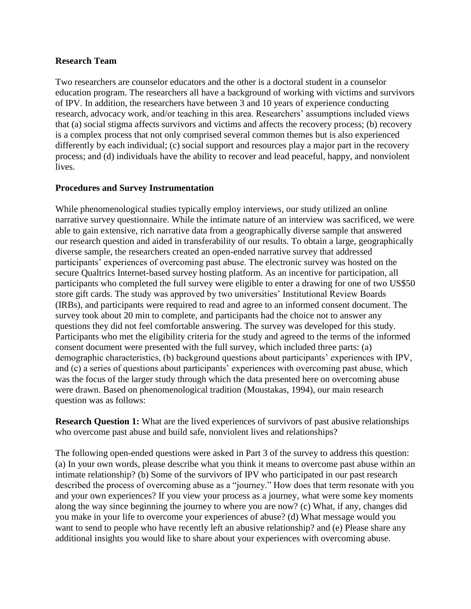#### **Research Team**

Two researchers are counselor educators and the other is a doctoral student in a counselor education program. The researchers all have a background of working with victims and survivors of IPV. In addition, the researchers have between 3 and 10 years of experience conducting research, advocacy work, and/or teaching in this area. Researchers' assumptions included views that (a) social stigma affects survivors and victims and affects the recovery process; (b) recovery is a complex process that not only comprised several common themes but is also experienced differently by each individual; (c) social support and resources play a major part in the recovery process; and (d) individuals have the ability to recover and lead peaceful, happy, and nonviolent lives.

### **Procedures and Survey Instrumentation**

While phenomenological studies typically employ interviews, our study utilized an online narrative survey questionnaire. While the intimate nature of an interview was sacrificed, we were able to gain extensive, rich narrative data from a geographically diverse sample that answered our research question and aided in transferability of our results. To obtain a large, geographically diverse sample, the researchers created an open-ended narrative survey that addressed participants' experiences of overcoming past abuse. The electronic survey was hosted on the secure Qualtrics Internet-based survey hosting platform. As an incentive for participation, all participants who completed the full survey were eligible to enter a drawing for one of two US\$50 store gift cards. The study was approved by two universities' Institutional Review Boards (IRBs), and participants were required to read and agree to an informed consent document. The survey took about 20 min to complete, and participants had the choice not to answer any questions they did not feel comfortable answering. The survey was developed for this study. Participants who met the eligibility criteria for the study and agreed to the terms of the informed consent document were presented with the full survey, which included three parts: (a) demographic characteristics, (b) background questions about participants' experiences with IPV, and (c) a series of questions about participants' experiences with overcoming past abuse, which was the focus of the larger study through which the data presented here on overcoming abuse were drawn. Based on phenomenological tradition (Moustakas, 1994), our main research question was as follows:

**Research Question 1:** What are the lived experiences of survivors of past abusive relationships who overcome past abuse and build safe, nonviolent lives and relationships?

The following open-ended questions were asked in Part 3 of the survey to address this question: (a) In your own words, please describe what you think it means to overcome past abuse within an intimate relationship? (b) Some of the survivors of IPV who participated in our past research described the process of overcoming abuse as a "journey." How does that term resonate with you and your own experiences? If you view your process as a journey, what were some key moments along the way since beginning the journey to where you are now? (c) What, if any, changes did you make in your life to overcome your experiences of abuse? (d) What message would you want to send to people who have recently left an abusive relationship? and (e) Please share any additional insights you would like to share about your experiences with overcoming abuse.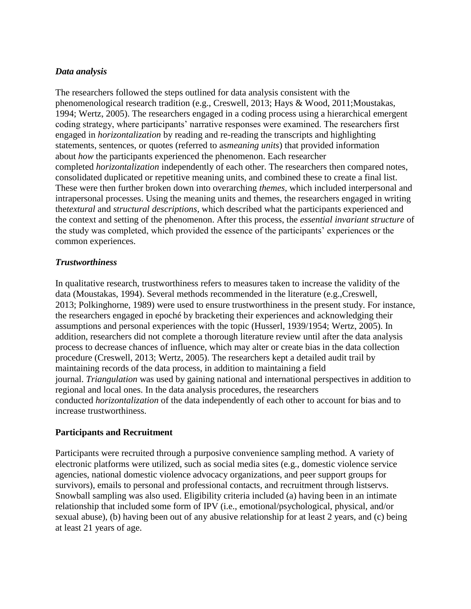### *Data analysis*

The researchers followed the steps outlined for data analysis consistent with the phenomenological research tradition (e.g., Creswell, 2013; Hays & Wood, 2011;Moustakas, 1994; Wertz, 2005). The researchers engaged in a coding process using a hierarchical emergent coding strategy, where participants' narrative responses were examined. The researchers first engaged in *horizontalization* by reading and re-reading the transcripts and highlighting statements, sentences, or quotes (referred to as*meaning units*) that provided information about *how* the participants experienced the phenomenon. Each researcher completed *horizontalization* independently of each other. The researchers then compared notes, consolidated duplicated or repetitive meaning units, and combined these to create a final list. These were then further broken down into overarching *themes*, which included interpersonal and intrapersonal processes. Using the meaning units and themes, the researchers engaged in writing the*textural* and *structural descriptions*, which described what the participants experienced and the context and setting of the phenomenon. After this process, the *essential invariant structure* of the study was completed, which provided the essence of the participants' experiences or the common experiences.

### *Trustworthiness*

In qualitative research, trustworthiness refers to measures taken to increase the validity of the data (Moustakas, 1994). Several methods recommended in the literature (e.g.,Creswell, 2013; Polkinghorne, 1989) were used to ensure trustworthiness in the present study. For instance, the researchers engaged in epoché by bracketing their experiences and acknowledging their assumptions and personal experiences with the topic (Husserl, 1939/1954; Wertz, 2005). In addition, researchers did not complete a thorough literature review until after the data analysis process to decrease chances of influence, which may alter or create bias in the data collection procedure (Creswell, 2013; Wertz, 2005). The researchers kept a detailed audit trail by maintaining records of the data process, in addition to maintaining a field journal. *Triangulation* was used by gaining national and international perspectives in addition to regional and local ones. In the data analysis procedures, the researchers conducted *horizontalization* of the data independently of each other to account for bias and to increase trustworthiness.

#### **Participants and Recruitment**

Participants were recruited through a purposive convenience sampling method. A variety of electronic platforms were utilized, such as social media sites (e.g., domestic violence service agencies, national domestic violence advocacy organizations, and peer support groups for survivors), emails to personal and professional contacts, and recruitment through listservs. Snowball sampling was also used. Eligibility criteria included (a) having been in an intimate relationship that included some form of IPV (i.e., emotional/psychological, physical, and/or sexual abuse), (b) having been out of any abusive relationship for at least 2 years, and (c) being at least 21 years of age.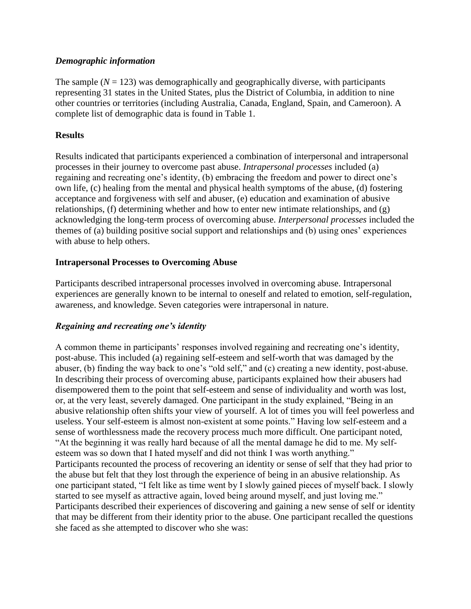### *Demographic information*

The sample  $(N = 123)$  was demographically and geographically diverse, with participants representing 31 states in the United States, plus the District of Columbia, in addition to nine other countries or territories (including Australia, Canada, England, Spain, and Cameroon). A complete list of demographic data is found in Table 1.

### **Results**

Results indicated that participants experienced a combination of interpersonal and intrapersonal processes in their journey to overcome past abuse. *Intrapersonal processes* included (a) regaining and recreating one's identity, (b) embracing the freedom and power to direct one's own life, (c) healing from the mental and physical health symptoms of the abuse, (d) fostering acceptance and forgiveness with self and abuser, (e) education and examination of abusive relationships, (f) determining whether and how to enter new intimate relationships, and (g) acknowledging the long-term process of overcoming abuse. *Interpersonal processes* included the themes of (a) building positive social support and relationships and (b) using ones' experiences with abuse to help others.

## **Intrapersonal Processes to Overcoming Abuse**

Participants described intrapersonal processes involved in overcoming abuse. Intrapersonal experiences are generally known to be internal to oneself and related to emotion, self-regulation, awareness, and knowledge. Seven categories were intrapersonal in nature.

## *Regaining and recreating one's identity*

A common theme in participants' responses involved regaining and recreating one's identity, post-abuse. This included (a) regaining self-esteem and self-worth that was damaged by the abuser, (b) finding the way back to one's "old self," and (c) creating a new identity, post-abuse. In describing their process of overcoming abuse, participants explained how their abusers had disempowered them to the point that self-esteem and sense of individuality and worth was lost, or, at the very least, severely damaged. One participant in the study explained, "Being in an abusive relationship often shifts your view of yourself. A lot of times you will feel powerless and useless. Your self-esteem is almost non-existent at some points." Having low self-esteem and a sense of worthlessness made the recovery process much more difficult. One participant noted, "At the beginning it was really hard because of all the mental damage he did to me. My selfesteem was so down that I hated myself and did not think I was worth anything." Participants recounted the process of recovering an identity or sense of self that they had prior to the abuse but felt that they lost through the experience of being in an abusive relationship. As one participant stated, "I felt like as time went by I slowly gained pieces of myself back. I slowly started to see myself as attractive again, loved being around myself, and just loving me." Participants described their experiences of discovering and gaining a new sense of self or identity that may be different from their identity prior to the abuse. One participant recalled the questions she faced as she attempted to discover who she was: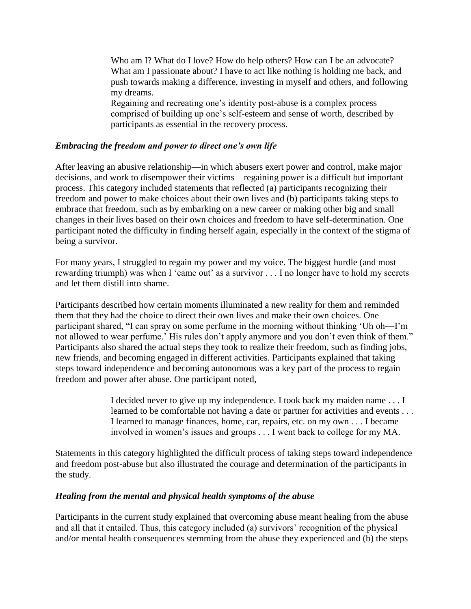Who am I? What do I love? How do help others? How can I be an advocate? What am I passionate about? I have to act like nothing is holding me back, and push towards making a difference, investing in myself and others, and following my dreams.

Regaining and recreating one's identity post-abuse is a complex process comprised of building up one's self-esteem and sense of worth, described by participants as essential in the recovery process.

#### *Embracing the freedom and power to direct one's own life*

After leaving an abusive relationship—in which abusers exert power and control, make major decisions, and work to disempower their victims—regaining power is a difficult but important process. This category included statements that reflected (a) participants recognizing their freedom and power to make choices about their own lives and (b) participants taking steps to embrace that freedom, such as by embarking on a new career or making other big and small changes in their lives based on their own choices and freedom to have self-determination. One participant noted the difficulty in finding herself again, especially in the context of the stigma of being a survivor.

For many years, I struggled to regain my power and my voice. The biggest hurdle (and most rewarding triumph) was when I 'came out' as a survivor . . . I no longer have to hold my secrets and let them distill into shame.

Participants described how certain moments illuminated a new reality for them and reminded them that they had the choice to direct their own lives and make their own choices. One participant shared, "I can spray on some perfume in the morning without thinking 'Uh oh—I'm not allowed to wear perfume.' His rules don't apply anymore and you don't even think of them." Participants also shared the actual steps they took to realize their freedom, such as finding jobs, new friends, and becoming engaged in different activities. Participants explained that taking steps toward independence and becoming autonomous was a key part of the process to regain freedom and power after abuse. One participant noted,

> I decided never to give up my independence. I took back my maiden name . . . I learned to be comfortable not having a date or partner for activities and events . . . I learned to manage finances, home, car, repairs, etc. on my own . . . I became involved in women's issues and groups . . . I went back to college for my MA.

Statements in this category highlighted the difficult process of taking steps toward independence and freedom post-abuse but also illustrated the courage and determination of the participants in the study.

#### *Healing from the mental and physical health symptoms of the abuse*

Participants in the current study explained that overcoming abuse meant healing from the abuse and all that it entailed. Thus, this category included (a) survivors' recognition of the physical and/or mental health consequences stemming from the abuse they experienced and (b) the steps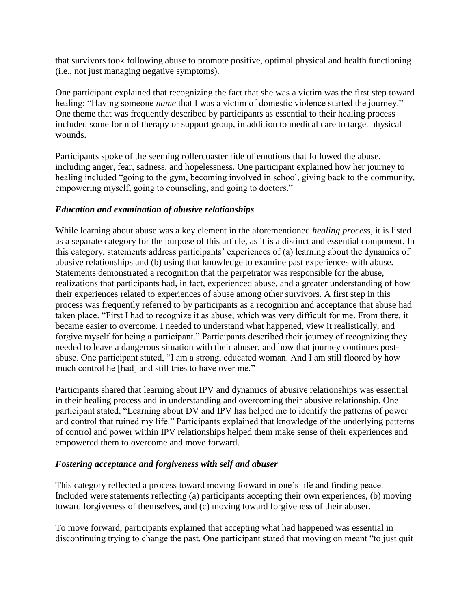that survivors took following abuse to promote positive, optimal physical and health functioning (i.e., not just managing negative symptoms).

One participant explained that recognizing the fact that she was a victim was the first step toward healing: "Having someone *name* that I was a victim of domestic violence started the journey." One theme that was frequently described by participants as essential to their healing process included some form of therapy or support group, in addition to medical care to target physical wounds.

Participants spoke of the seeming rollercoaster ride of emotions that followed the abuse, including anger, fear, sadness, and hopelessness. One participant explained how her journey to healing included "going to the gym, becoming involved in school, giving back to the community, empowering myself, going to counseling, and going to doctors."

## *Education and examination of abusive relationships*

While learning about abuse was a key element in the aforementioned *healing process*, it is listed as a separate category for the purpose of this article, as it is a distinct and essential component. In this category, statements address participants' experiences of (a) learning about the dynamics of abusive relationships and (b) using that knowledge to examine past experiences with abuse. Statements demonstrated a recognition that the perpetrator was responsible for the abuse, realizations that participants had, in fact, experienced abuse, and a greater understanding of how their experiences related to experiences of abuse among other survivors. A first step in this process was frequently referred to by participants as a recognition and acceptance that abuse had taken place. "First I had to recognize it as abuse, which was very difficult for me. From there, it became easier to overcome. I needed to understand what happened, view it realistically, and forgive myself for being a participant." Participants described their journey of recognizing they needed to leave a dangerous situation with their abuser, and how that journey continues postabuse. One participant stated, "I am a strong, educated woman. And I am still floored by how much control he [had] and still tries to have over me."

Participants shared that learning about IPV and dynamics of abusive relationships was essential in their healing process and in understanding and overcoming their abusive relationship. One participant stated, "Learning about DV and IPV has helped me to identify the patterns of power and control that ruined my life." Participants explained that knowledge of the underlying patterns of control and power within IPV relationships helped them make sense of their experiences and empowered them to overcome and move forward.

## *Fostering acceptance and forgiveness with self and abuser*

This category reflected a process toward moving forward in one's life and finding peace. Included were statements reflecting (a) participants accepting their own experiences, (b) moving toward forgiveness of themselves, and (c) moving toward forgiveness of their abuser.

To move forward, participants explained that accepting what had happened was essential in discontinuing trying to change the past. One participant stated that moving on meant "to just quit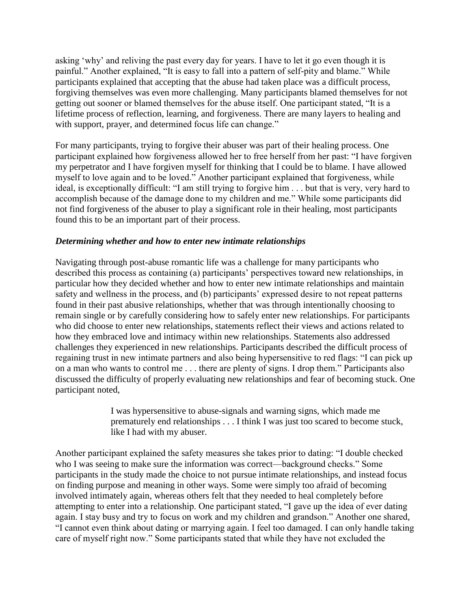asking 'why' and reliving the past every day for years. I have to let it go even though it is painful." Another explained, "It is easy to fall into a pattern of self-pity and blame." While participants explained that accepting that the abuse had taken place was a difficult process, forgiving themselves was even more challenging. Many participants blamed themselves for not getting out sooner or blamed themselves for the abuse itself. One participant stated, "It is a lifetime process of reflection, learning, and forgiveness. There are many layers to healing and with support, prayer, and determined focus life can change."

For many participants, trying to forgive their abuser was part of their healing process. One participant explained how forgiveness allowed her to free herself from her past: "I have forgiven my perpetrator and I have forgiven myself for thinking that I could be to blame. I have allowed myself to love again and to be loved." Another participant explained that forgiveness, while ideal, is exceptionally difficult: "I am still trying to forgive him . . . but that is very, very hard to accomplish because of the damage done to my children and me." While some participants did not find forgiveness of the abuser to play a significant role in their healing, most participants found this to be an important part of their process.

### *Determining whether and how to enter new intimate relationships*

Navigating through post-abuse romantic life was a challenge for many participants who described this process as containing (a) participants' perspectives toward new relationships, in particular how they decided whether and how to enter new intimate relationships and maintain safety and wellness in the process, and (b) participants' expressed desire to not repeat patterns found in their past abusive relationships, whether that was through intentionally choosing to remain single or by carefully considering how to safely enter new relationships. For participants who did choose to enter new relationships, statements reflect their views and actions related to how they embraced love and intimacy within new relationships. Statements also addressed challenges they experienced in new relationships. Participants described the difficult process of regaining trust in new intimate partners and also being hypersensitive to red flags: "I can pick up on a man who wants to control me . . . there are plenty of signs. I drop them." Participants also discussed the difficulty of properly evaluating new relationships and fear of becoming stuck. One participant noted,

> I was hypersensitive to abuse-signals and warning signs, which made me prematurely end relationships . . . I think I was just too scared to become stuck, like I had with my abuser.

Another participant explained the safety measures she takes prior to dating: "I double checked who I was seeing to make sure the information was correct—background checks." Some participants in the study made the choice to not pursue intimate relationships, and instead focus on finding purpose and meaning in other ways. Some were simply too afraid of becoming involved intimately again, whereas others felt that they needed to heal completely before attempting to enter into a relationship. One participant stated, "I gave up the idea of ever dating again. I stay busy and try to focus on work and my children and grandson." Another one shared, "I cannot even think about dating or marrying again. I feel too damaged. I can only handle taking care of myself right now." Some participants stated that while they have not excluded the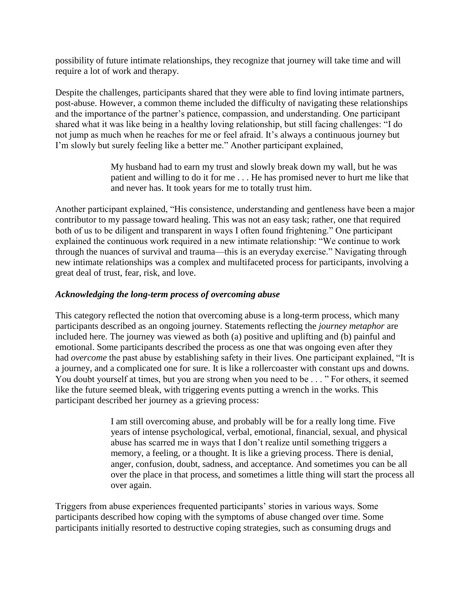possibility of future intimate relationships, they recognize that journey will take time and will require a lot of work and therapy.

Despite the challenges, participants shared that they were able to find loving intimate partners, post-abuse. However, a common theme included the difficulty of navigating these relationships and the importance of the partner's patience, compassion, and understanding. One participant shared what it was like being in a healthy loving relationship, but still facing challenges: "I do not jump as much when he reaches for me or feel afraid. It's always a continuous journey but I'm slowly but surely feeling like a better me." Another participant explained,

> My husband had to earn my trust and slowly break down my wall, but he was patient and willing to do it for me . . . He has promised never to hurt me like that and never has. It took years for me to totally trust him.

Another participant explained, "His consistence, understanding and gentleness have been a major contributor to my passage toward healing. This was not an easy task; rather, one that required both of us to be diligent and transparent in ways I often found frightening." One participant explained the continuous work required in a new intimate relationship: "We continue to work through the nuances of survival and trauma—this is an everyday exercise." Navigating through new intimate relationships was a complex and multifaceted process for participants, involving a great deal of trust, fear, risk, and love.

## *Acknowledging the long-term process of overcoming abuse*

This category reflected the notion that overcoming abuse is a long-term process, which many participants described as an ongoing journey. Statements reflecting the *journey metaphor* are included here. The journey was viewed as both (a) positive and uplifting and (b) painful and emotional. Some participants described the process as one that was ongoing even after they had *overcome* the past abuse by establishing safety in their lives. One participant explained, "It is a journey, and a complicated one for sure. It is like a rollercoaster with constant ups and downs. You doubt yourself at times, but you are strong when you need to be . . . " For others, it seemed like the future seemed bleak, with triggering events putting a wrench in the works. This participant described her journey as a grieving process:

> I am still overcoming abuse, and probably will be for a really long time. Five years of intense psychological, verbal, emotional, financial, sexual, and physical abuse has scarred me in ways that I don't realize until something triggers a memory, a feeling, or a thought. It is like a grieving process. There is denial, anger, confusion, doubt, sadness, and acceptance. And sometimes you can be all over the place in that process, and sometimes a little thing will start the process all over again.

Triggers from abuse experiences frequented participants' stories in various ways. Some participants described how coping with the symptoms of abuse changed over time. Some participants initially resorted to destructive coping strategies, such as consuming drugs and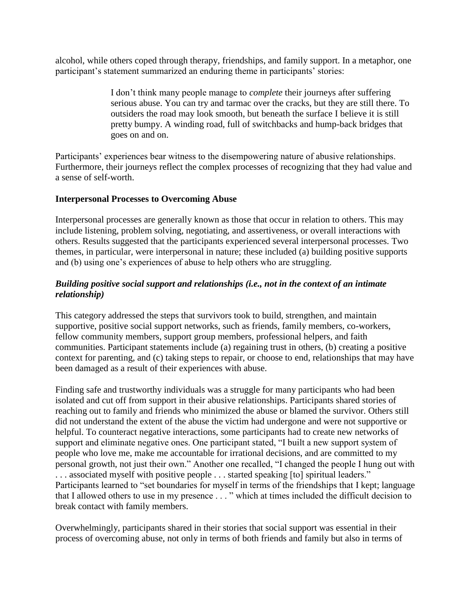alcohol, while others coped through therapy, friendships, and family support. In a metaphor, one participant's statement summarized an enduring theme in participants' stories:

> I don't think many people manage to *complete* their journeys after suffering serious abuse. You can try and tarmac over the cracks, but they are still there. To outsiders the road may look smooth, but beneath the surface I believe it is still pretty bumpy. A winding road, full of switchbacks and hump-back bridges that goes on and on.

Participants' experiences bear witness to the disempowering nature of abusive relationships. Furthermore, their journeys reflect the complex processes of recognizing that they had value and a sense of self-worth.

# **Interpersonal Processes to Overcoming Abuse**

Interpersonal processes are generally known as those that occur in relation to others. This may include listening, problem solving, negotiating, and assertiveness, or overall interactions with others. Results suggested that the participants experienced several interpersonal processes. Two themes, in particular, were interpersonal in nature; these included (a) building positive supports and (b) using one's experiences of abuse to help others who are struggling.

# *Building positive social support and relationships (i.e., not in the context of an intimate relationship)*

This category addressed the steps that survivors took to build, strengthen, and maintain supportive, positive social support networks, such as friends, family members, co-workers, fellow community members, support group members, professional helpers, and faith communities. Participant statements include (a) regaining trust in others, (b) creating a positive context for parenting, and (c) taking steps to repair, or choose to end, relationships that may have been damaged as a result of their experiences with abuse.

Finding safe and trustworthy individuals was a struggle for many participants who had been isolated and cut off from support in their abusive relationships. Participants shared stories of reaching out to family and friends who minimized the abuse or blamed the survivor. Others still did not understand the extent of the abuse the victim had undergone and were not supportive or helpful. To counteract negative interactions, some participants had to create new networks of support and eliminate negative ones. One participant stated, "I built a new support system of people who love me, make me accountable for irrational decisions, and are committed to my personal growth, not just their own." Another one recalled, "I changed the people I hung out with . . . associated myself with positive people . . . started speaking [to] spiritual leaders." Participants learned to "set boundaries for myself in terms of the friendships that I kept; language that I allowed others to use in my presence . . . " which at times included the difficult decision to break contact with family members.

Overwhelmingly, participants shared in their stories that social support was essential in their process of overcoming abuse, not only in terms of both friends and family but also in terms of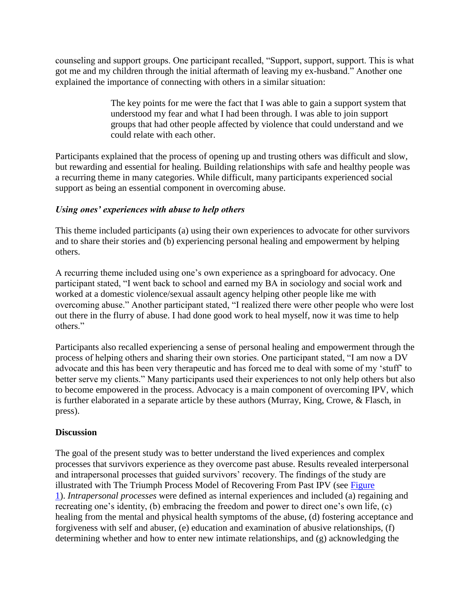counseling and support groups. One participant recalled, "Support, support, support. This is what got me and my children through the initial aftermath of leaving my ex-husband." Another one explained the importance of connecting with others in a similar situation:

> The key points for me were the fact that I was able to gain a support system that understood my fear and what I had been through. I was able to join support groups that had other people affected by violence that could understand and we could relate with each other.

Participants explained that the process of opening up and trusting others was difficult and slow, but rewarding and essential for healing. Building relationships with safe and healthy people was a recurring theme in many categories. While difficult, many participants experienced social support as being an essential component in overcoming abuse.

# *Using ones' experiences with abuse to help others*

This theme included participants (a) using their own experiences to advocate for other survivors and to share their stories and (b) experiencing personal healing and empowerment by helping others.

A recurring theme included using one's own experience as a springboard for advocacy. One participant stated, "I went back to school and earned my BA in sociology and social work and worked at a domestic violence/sexual assault agency helping other people like me with overcoming abuse." Another participant stated, "I realized there were other people who were lost out there in the flurry of abuse. I had done good work to heal myself, now it was time to help others."

Participants also recalled experiencing a sense of personal healing and empowerment through the process of helping others and sharing their own stories. One participant stated, "I am now a DV advocate and this has been very therapeutic and has forced me to deal with some of my 'stuff' to better serve my clients." Many participants used their experiences to not only help others but also to become empowered in the process. Advocacy is a main component of overcoming IPV, which is further elaborated in a separate article by these authors (Murray, King, Crowe, & Flasch, in press).

## **Discussion**

The goal of the present study was to better understand the lived experiences and complex processes that survivors experience as they overcome past abuse. Results revealed interpersonal and intrapersonal processes that guided survivors' recovery. The findings of the study are illustrated with The Triumph Process Model of Recovering From Past IPV (see [Figure](http://jiv.sagepub.com/content/early/2015/08/07/0886260515599161.full#F1)  [1\)](http://jiv.sagepub.com/content/early/2015/08/07/0886260515599161.full#F1). *Intrapersonal processes* were defined as internal experiences and included (a) regaining and recreating one's identity, (b) embracing the freedom and power to direct one's own life, (c) healing from the mental and physical health symptoms of the abuse, (d) fostering acceptance and forgiveness with self and abuser, (e) education and examination of abusive relationships, (f) determining whether and how to enter new intimate relationships, and (g) acknowledging the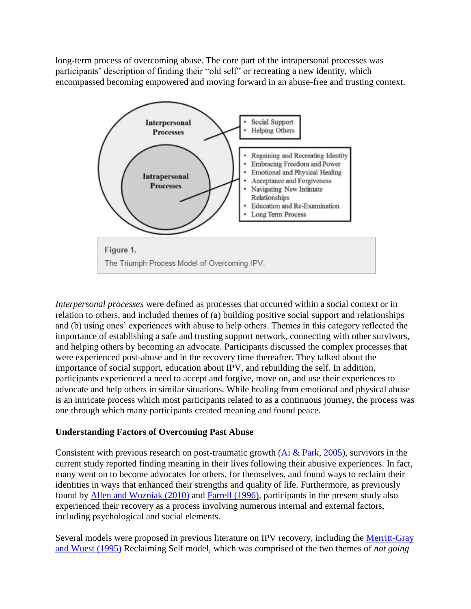long-term process of overcoming abuse. The core part of the intrapersonal processes was participants' description of finding their "old self" or recreating a new identity, which encompassed becoming empowered and moving forward in an abuse-free and trusting context.



*Interpersonal processes* were defined as processes that occurred within a social context or in relation to others, and included themes of (a) building positive social support and relationships and (b) using ones' experiences with abuse to help others. Themes in this category reflected the importance of establishing a safe and trusting support network, connecting with other survivors, and helping others by becoming an advocate. Participants discussed the complex processes that were experienced post-abuse and in the recovery time thereafter. They talked about the importance of social support, education about IPV, and rebuilding the self. In addition, participants experienced a need to accept and forgive, move on, and use their experiences to advocate and help others in similar situations. While healing from emotional and physical abuse is an intricate process which most participants related to as a continuous journey, the process was one through which many participants created meaning and found peace.

# **Understanding Factors of Overcoming Past Abuse**

Consistent with previous research on post-traumatic growth (Ai  $& Park, 2005$ ), survivors in the current study reported finding meaning in their lives following their abusive experiences. In fact, many went on to become advocates for others, for themselves, and found ways to reclaim their identities in ways that enhanced their strengths and quality of life. Furthermore, as previously found by [Allen and Wozniak \(2010\)](http://jiv.sagepub.com/content/early/2015/08/07/0886260515599161.full#ref-3) and [Farrell \(1996\),](http://jiv.sagepub.com/content/early/2015/08/07/0886260515599161.full#ref-7) participants in the present study also experienced their recovery as a process involving numerous internal and external factors, including psychological and social elements.

Several models were proposed in previous literature on IPV recovery, including the Merritt-Gray [and Wuest \(1995\)](http://jiv.sagepub.com/content/early/2015/08/07/0886260515599161.full#ref-11) Reclaiming Self model, which was comprised of the two themes of *not going*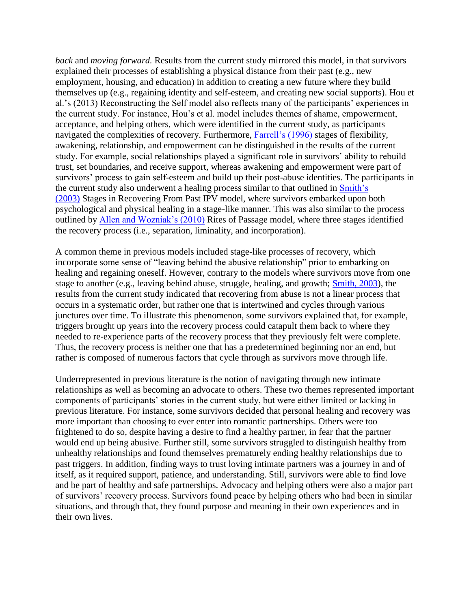*back* and *moving forward.* Results from the current study mirrored this model, in that survivors explained their processes of establishing a physical distance from their past (e.g., new employment, housing, and education) in addition to creating a new future where they build themselves up (e.g., regaining identity and self-esteem, and creating new social supports). Hou et al.'s (2013) Reconstructing the Self model also reflects many of the participants' experiences in the current study. For instance, Hou's et al. model includes themes of shame, empowerment, acceptance, and helping others, which were identified in the current study, as participants navigated the complexities of recovery. Furthermore, [Farrell's \(1996\)](http://jiv.sagepub.com/content/early/2015/08/07/0886260515599161.full#ref-7) stages of flexibility, awakening, relationship, and empowerment can be distinguished in the results of the current study. For example, social relationships played a significant role in survivors' ability to rebuild trust, set boundaries, and receive support, whereas awakening and empowerment were part of survivors' process to gain self-esteem and build up their post-abuse identities. The participants in the current study also underwent a healing process similar to that outlined in [Smith's](http://jiv.sagepub.com/content/early/2015/08/07/0886260515599161.full#ref-22)  [\(2003\)](http://jiv.sagepub.com/content/early/2015/08/07/0886260515599161.full#ref-22) Stages in Recovering From Past IPV model, where survivors embarked upon both psychological and physical healing in a stage-like manner. This was also similar to the process outlined by [Allen and Wozniak's \(2010\)](http://jiv.sagepub.com/content/early/2015/08/07/0886260515599161.full#ref-3) Rites of Passage model, where three stages identified the recovery process (i.e., separation, liminality, and incorporation).

A common theme in previous models included stage-like processes of recovery, which incorporate some sense of "leaving behind the abusive relationship" prior to embarking on healing and regaining oneself. However, contrary to the models where survivors move from one stage to another (e.g., leaving behind abuse, struggle, healing, and growth; [Smith, 2003\)](http://jiv.sagepub.com/content/early/2015/08/07/0886260515599161.full#ref-22), the results from the current study indicated that recovering from abuse is not a linear process that occurs in a systematic order, but rather one that is intertwined and cycles through various junctures over time. To illustrate this phenomenon, some survivors explained that, for example, triggers brought up years into the recovery process could catapult them back to where they needed to re-experience parts of the recovery process that they previously felt were complete. Thus, the recovery process is neither one that has a predetermined beginning nor an end, but rather is composed of numerous factors that cycle through as survivors move through life.

Underrepresented in previous literature is the notion of navigating through new intimate relationships as well as becoming an advocate to others. These two themes represented important components of participants' stories in the current study, but were either limited or lacking in previous literature. For instance, some survivors decided that personal healing and recovery was more important than choosing to ever enter into romantic partnerships. Others were too frightened to do so, despite having a desire to find a healthy partner, in fear that the partner would end up being abusive. Further still, some survivors struggled to distinguish healthy from unhealthy relationships and found themselves prematurely ending healthy relationships due to past triggers. In addition, finding ways to trust loving intimate partners was a journey in and of itself, as it required support, patience, and understanding. Still, survivors were able to find love and be part of healthy and safe partnerships. Advocacy and helping others were also a major part of survivors' recovery process. Survivors found peace by helping others who had been in similar situations, and through that, they found purpose and meaning in their own experiences and in their own lives.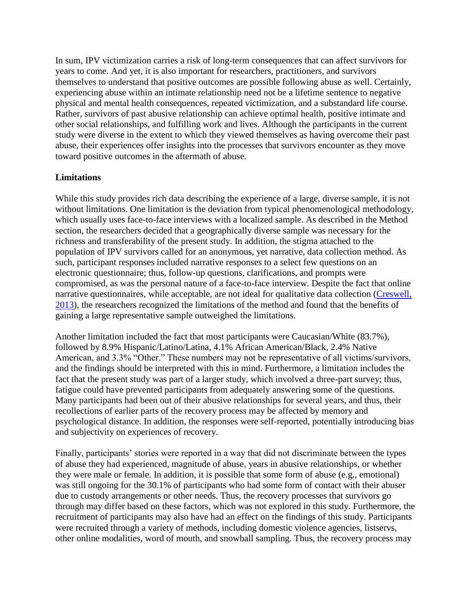In sum, IPV victimization carries a risk of long-term consequences that can affect survivors for years to come. And yet, it is also important for researchers, practitioners, and survivors themselves to understand that positive outcomes are possible following abuse as well. Certainly, experiencing abuse within an intimate relationship need not be a lifetime sentence to negative physical and mental health consequences, repeated victimization, and a substandard life course. Rather, survivors of past abusive relationship can achieve optimal health, positive intimate and other social relationships, and fulfilling work and lives. Although the participants in the current study were diverse in the extent to which they viewed themselves as having overcome their past abuse, their experiences offer insights into the processes that survivors encounter as they move toward positive outcomes in the aftermath of abuse.

## **Limitations**

While this study provides rich data describing the experience of a large, diverse sample, it is not without limitations. One limitation is the deviation from typical phenomenological methodology, which usually uses face-to-face interviews with a localized sample. As described in the Method section, the researchers decided that a geographically diverse sample was necessary for the richness and transferability of the present study. In addition, the stigma attached to the population of IPV survivors called for an anonymous, yet narrative, data collection method. As such, participant responses included narrative responses to a select few questions on an electronic questionnaire; thus, follow-up questions, clarifications, and prompts were compromised, as was the personal nature of a face-to-face interview. Despite the fact that online narrative questionnaires, while acceptable, are not ideal for qualitative data collection [\(Creswell,](http://jiv.sagepub.com/content/early/2015/08/07/0886260515599161.full#ref-6)  [2013\)](http://jiv.sagepub.com/content/early/2015/08/07/0886260515599161.full#ref-6), the researchers recognized the limitations of the method and found that the benefits of gaining a large representative sample outweighed the limitations.

Another limitation included the fact that most participants were Caucasian/White (83.7%), followed by 8.9% Hispanic/Latino/Latina, 4.1% African American/Black, 2.4% Native American, and 3.3% "Other." These numbers may not be representative of all victims/survivors, and the findings should be interpreted with this in mind. Furthermore, a limitation includes the fact that the present study was part of a larger study, which involved a three-part survey; thus, fatigue could have prevented participants from adequately answering some of the questions. Many participants had been out of their abusive relationships for several years, and thus, their recollections of earlier parts of the recovery process may be affected by memory and psychological distance. In addition, the responses were self-reported, potentially introducing bias and subjectivity on experiences of recovery.

Finally, participants' stories were reported in a way that did not discriminate between the types of abuse they had experienced, magnitude of abuse, years in abusive relationships, or whether they were male or female. In addition, it is possible that some form of abuse (e.g., emotional) was still ongoing for the 30.1% of participants who had some form of contact with their abuser due to custody arrangements or other needs. Thus, the recovery processes that survivors go through may differ based on these factors, which was not explored in this study. Furthermore, the recruitment of participants may also have had an effect on the findings of this study. Participants were recruited through a variety of methods, including domestic violence agencies, listservs, other online modalities, word of mouth, and snowball sampling. Thus, the recovery process may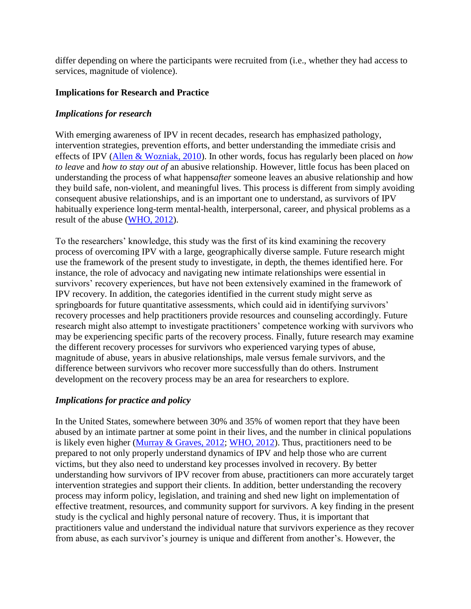differ depending on where the participants were recruited from (i.e., whether they had access to services, magnitude of violence).

#### **Implications for Research and Practice**

### *Implications for research*

With emerging awareness of IPV in recent decades, research has emphasized pathology, intervention strategies, prevention efforts, and better understanding the immediate crisis and effects of IPV [\(Allen & Wozniak, 2010\)](http://jiv.sagepub.com/content/early/2015/08/07/0886260515599161.full#ref-3). In other words, focus has regularly been placed on *how to leave* and *how to stay out of* an abusive relationship. However, little focus has been placed on understanding the process of what happens*after* someone leaves an abusive relationship and how they build safe, non-violent, and meaningful lives. This process is different from simply avoiding consequent abusive relationships, and is an important one to understand, as survivors of IPV habitually experience long-term mental-health, interpersonal, career, and physical problems as a result of the abuse [\(WHO, 2012\)](http://jiv.sagepub.com/content/early/2015/08/07/0886260515599161.full#ref-27).

To the researchers' knowledge, this study was the first of its kind examining the recovery process of overcoming IPV with a large, geographically diverse sample. Future research might use the framework of the present study to investigate, in depth, the themes identified here. For instance, the role of advocacy and navigating new intimate relationships were essential in survivors' recovery experiences, but have not been extensively examined in the framework of IPV recovery. In addition, the categories identified in the current study might serve as springboards for future quantitative assessments, which could aid in identifying survivors' recovery processes and help practitioners provide resources and counseling accordingly. Future research might also attempt to investigate practitioners' competence working with survivors who may be experiencing specific parts of the recovery process. Finally, future research may examine the different recovery processes for survivors who experienced varying types of abuse, magnitude of abuse, years in abusive relationships, male versus female survivors, and the difference between survivors who recover more successfully than do others. Instrument development on the recovery process may be an area for researchers to explore.

## *Implications for practice and policy*

In the United States, somewhere between 30% and 35% of women report that they have been abused by an intimate partner at some point in their lives, and the number in clinical populations is likely even higher [\(Murray & Graves, 2012;](http://jiv.sagepub.com/content/early/2015/08/07/0886260515599161.full#ref-18) [WHO, 2012\)](http://jiv.sagepub.com/content/early/2015/08/07/0886260515599161.full#ref-27). Thus, practitioners need to be prepared to not only properly understand dynamics of IPV and help those who are current victims, but they also need to understand key processes involved in recovery. By better understanding how survivors of IPV recover from abuse, practitioners can more accurately target intervention strategies and support their clients. In addition, better understanding the recovery process may inform policy, legislation, and training and shed new light on implementation of effective treatment, resources, and community support for survivors. A key finding in the present study is the cyclical and highly personal nature of recovery. Thus, it is important that practitioners value and understand the individual nature that survivors experience as they recover from abuse, as each survivor's journey is unique and different from another's. However, the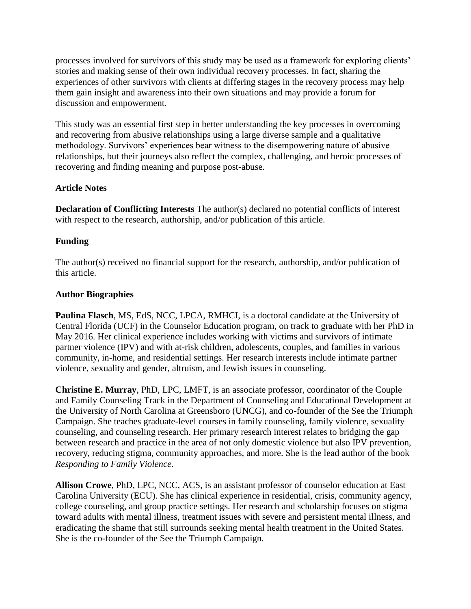processes involved for survivors of this study may be used as a framework for exploring clients' stories and making sense of their own individual recovery processes. In fact, sharing the experiences of other survivors with clients at differing stages in the recovery process may help them gain insight and awareness into their own situations and may provide a forum for discussion and empowerment.

This study was an essential first step in better understanding the key processes in overcoming and recovering from abusive relationships using a large diverse sample and a qualitative methodology. Survivors' experiences bear witness to the disempowering nature of abusive relationships, but their journeys also reflect the complex, challenging, and heroic processes of recovering and finding meaning and purpose post-abuse.

## **Article Notes**

**Declaration of Conflicting Interests** The author(s) declared no potential conflicts of interest with respect to the research, authorship, and/or publication of this article.

### **Funding**

The author(s) received no financial support for the research, authorship, and/or publication of this article.

### **Author Biographies**

**Paulina Flasch**, MS, EdS, NCC, LPCA, RMHCI, is a doctoral candidate at the University of Central Florida (UCF) in the Counselor Education program, on track to graduate with her PhD in May 2016. Her clinical experience includes working with victims and survivors of intimate partner violence (IPV) and with at-risk children, adolescents, couples, and families in various community, in-home, and residential settings. Her research interests include intimate partner violence, sexuality and gender, altruism, and Jewish issues in counseling.

**Christine E. Murray**, PhD, LPC, LMFT, is an associate professor, coordinator of the Couple and Family Counseling Track in the Department of Counseling and Educational Development at the University of North Carolina at Greensboro (UNCG), and co-founder of the See the Triumph Campaign. She teaches graduate-level courses in family counseling, family violence, sexuality counseling, and counseling research. Her primary research interest relates to bridging the gap between research and practice in the area of not only domestic violence but also IPV prevention, recovery, reducing stigma, community approaches, and more. She is the lead author of the book *Responding to Family Violence*.

**Allison Crowe**, PhD, LPC, NCC, ACS, is an assistant professor of counselor education at East Carolina University (ECU). She has clinical experience in residential, crisis, community agency, college counseling, and group practice settings. Her research and scholarship focuses on stigma toward adults with mental illness, treatment issues with severe and persistent mental illness, and eradicating the shame that still surrounds seeking mental health treatment in the United States. She is the co-founder of the See the Triumph Campaign.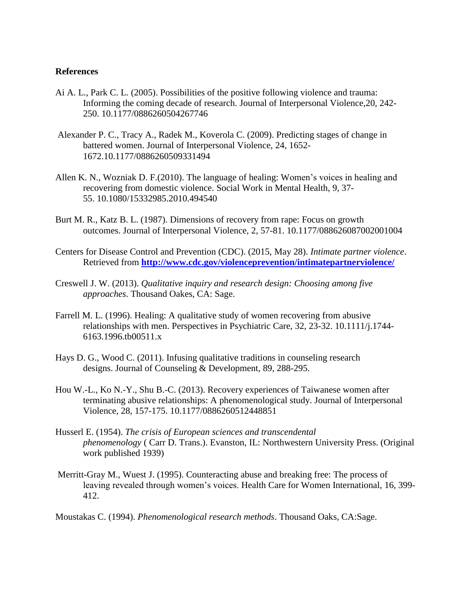#### **References**

- Ai A. L., Park C. L. (2005). Possibilities of the positive following violence and trauma: Informing the coming decade of research. Journal of Interpersonal Violence,20, 242- 250. 10.1177/0886260504267746
- Alexander P. C., Tracy A., Radek M., Koverola C. (2009). Predicting stages of change in battered women. Journal of Interpersonal Violence, 24, 1652- 1672.10.1177/0886260509331494
- Allen K. N., Wozniak D. F.(2010). The language of healing: Women's voices in healing and recovering from domestic violence. Social Work in Mental Health, 9, 37- 55. 10.1080/15332985.2010.494540
- Burt M. R., Katz B. L. (1987). Dimensions of recovery from rape: Focus on growth outcomes. Journal of Interpersonal Violence, 2, 57-81. 10.1177/088626087002001004
- Centers for Disease Control and Prevention (CDC). (2015, May 28). *Intimate partner violence*. Retrieved from **<http://www.cdc.gov/violenceprevention/intimatepartnerviolence/>**
- Creswell J. W. (2013). *Qualitative inquiry and research design: Choosing among five approaches*. Thousand Oakes, CA: Sage.
- Farrell M. L. (1996). Healing: A qualitative study of women recovering from abusive relationships with men. Perspectives in Psychiatric Care, 32, 23-32. 10.1111/j.1744- 6163.1996.tb00511.x
- Hays D. G., Wood C. (2011). Infusing qualitative traditions in counseling research designs. Journal of Counseling & Development, 89, 288-295.
- Hou W.-L., Ko N.-Y., Shu B.-C. (2013). Recovery experiences of Taiwanese women after terminating abusive relationships: A phenomenological study. Journal of Interpersonal Violence, 28, 157-175. 10.1177/0886260512448851
- Husserl E. (1954). *The crisis of European sciences and transcendental phenomenology* ( Carr D. Trans.). Evanston, IL: Northwestern University Press. (Original work published 1939)
- Merritt-Gray M., Wuest J. (1995). Counteracting abuse and breaking free: The process of leaving revealed through women's voices. Health Care for Women International, 16, 399- 412.

Moustakas C. (1994). *Phenomenological research methods*. Thousand Oaks, CA:Sage.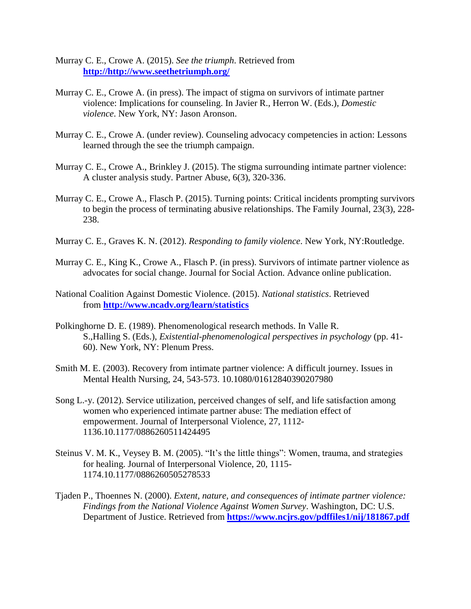- Murray C. E., Crowe A. (2015). *See the triumph*. Retrieved from **[http://http://www.seethetriumph.org/](http://http/www.seethetriumph.org/)**
- Murray C. E., Crowe A. (in press). The impact of stigma on survivors of intimate partner violence: Implications for counseling. In Javier R., Herron W. (Eds.), *Domestic violence*. New York, NY: Jason Aronson.
- Murray C. E., Crowe A. (under review). Counseling advocacy competencies in action: Lessons learned through the see the triumph campaign.
- Murray C. E., Crowe A., Brinkley J. (2015). The stigma surrounding intimate partner violence: A cluster analysis study. Partner Abuse, 6(3), 320-336.
- Murray C. E., Crowe A., Flasch P. (2015). Turning points: Critical incidents prompting survivors to begin the process of terminating abusive relationships. The Family Journal, 23(3), 228- 238.
- Murray C. E., Graves K. N. (2012). *Responding to family violence*. New York, NY:Routledge.
- Murray C. E., King K., Crowe A., Flasch P. (in press). Survivors of intimate partner violence as advocates for social change. Journal for Social Action. Advance online publication.
- National Coalition Against Domestic Violence. (2015). *National statistics*. Retrieved from **<http://www.ncadv.org/learn/statistics>**
- Polkinghorne D. E. (1989). Phenomenological research methods. In Valle R. S.,Halling S. (Eds.), *Existential-phenomenological perspectives in psychology* (pp. 41- 60). New York, NY: Plenum Press.
- Smith M. E. (2003). Recovery from intimate partner violence: A difficult journey. Issues in Mental Health Nursing, 24, 543-573. 10.1080/01612840390207980
- Song L.-y. (2012). Service utilization, perceived changes of self, and life satisfaction among women who experienced intimate partner abuse: The mediation effect of empowerment. Journal of Interpersonal Violence, 27, 1112- 1136.10.1177/0886260511424495
- Steinus V. M. K., Veysey B. M. (2005). "It's the little things": Women, trauma, and strategies for healing. Journal of Interpersonal Violence, 20, 1115- 1174.10.1177/0886260505278533
- Tjaden P., Thoennes N. (2000). *Extent, nature, and consequences of intimate partner violence: Findings from the National Violence Against Women Survey*. Washington, DC: U.S. Department of Justice. Retrieved from **<https://www.ncjrs.gov/pdffiles1/nij/181867.pdf>**